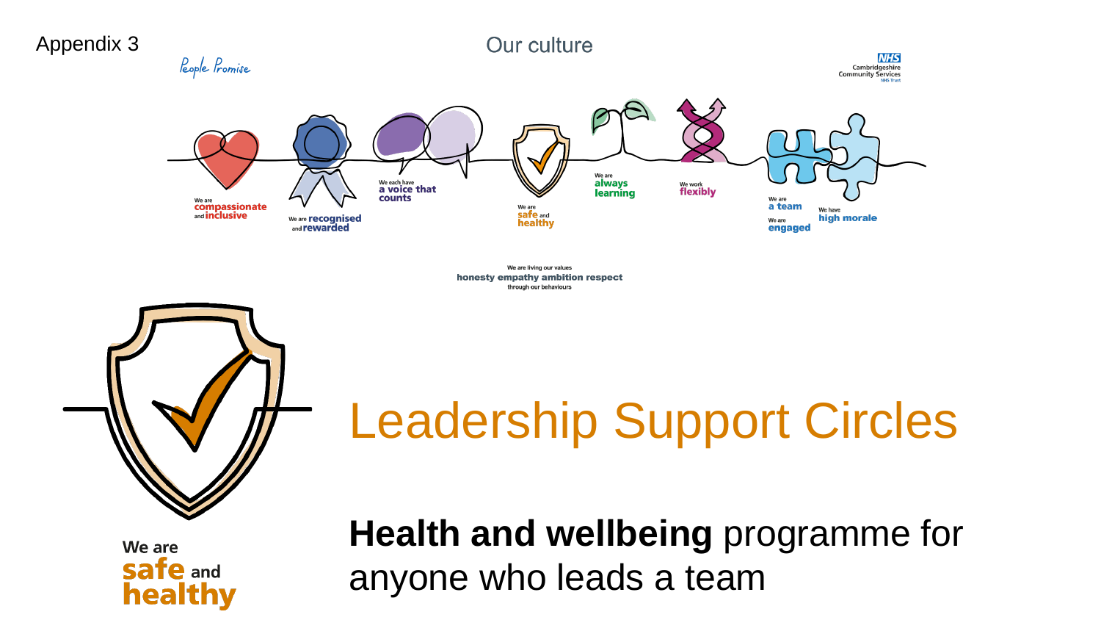

We are living our values honesty empathy ambition respect through our behaviours



Leadership Support Circles

We are **safe and** healthy

**Health and wellbeing** programme for anyone who leads a team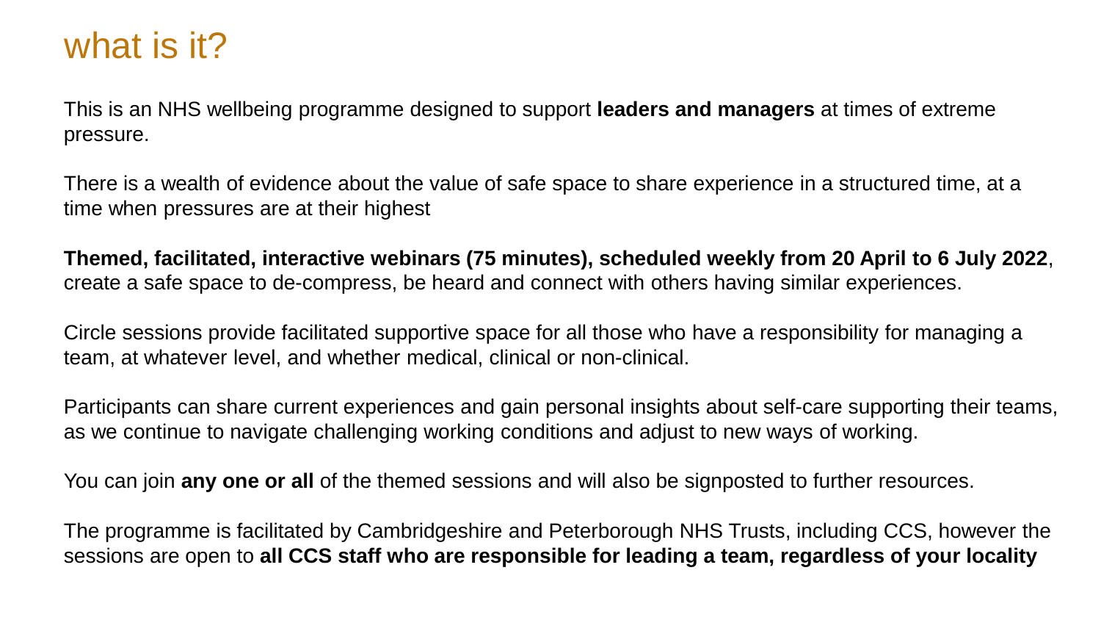## what is it?

This is an NHS wellbeing programme designed to support **leaders and managers** at times of extreme pressure.

There is a wealth of evidence about the value of safe space to share experience in a structured time, at a time when pressures are at their highest

**Themed, facilitated, interactive webinars (75 minutes), scheduled weekly from 20 April to 6 July 2022**, create a safe space to de-compress, be heard and connect with others having similar experiences.

Circle sessions provide facilitated supportive space for all those who have a responsibility for managing a team, at whatever level, and whether medical, clinical or non-clinical.

Participants can share current experiences and gain personal insights about self-care supporting their teams, as we continue to navigate challenging working conditions and adjust to new ways of working.

You can join **any one or all** of the themed sessions and will also be signposted to further resources.

The programme is facilitated by Cambridgeshire and Peterborough NHS Trusts, including CCS, however the sessions are open to **all CCS staff who are responsible for leading a team, regardless of your locality**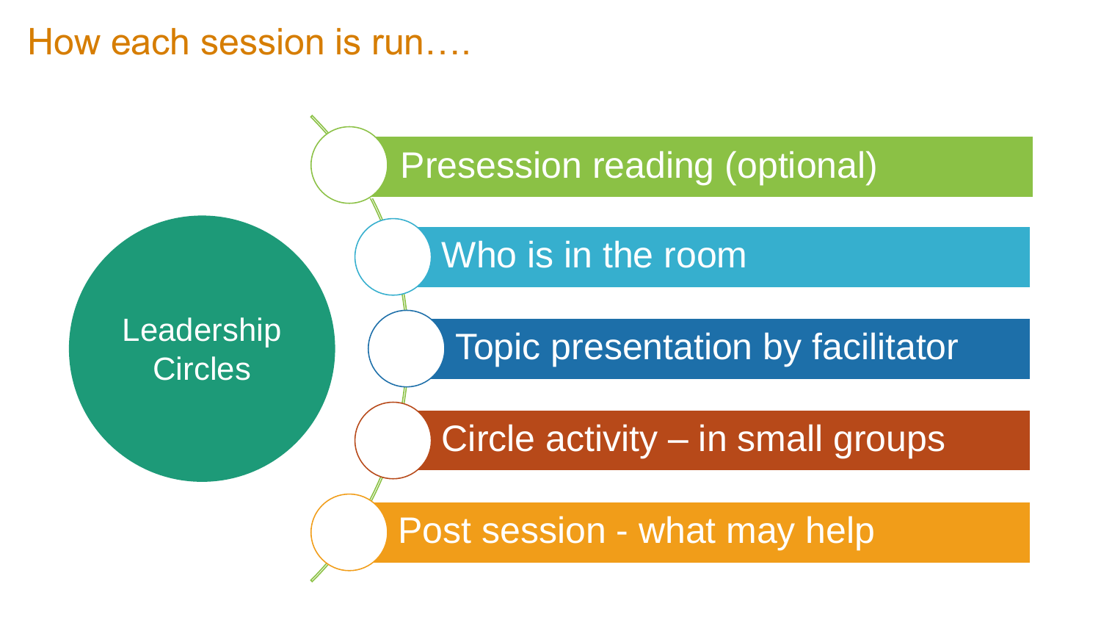#### How each session is run….

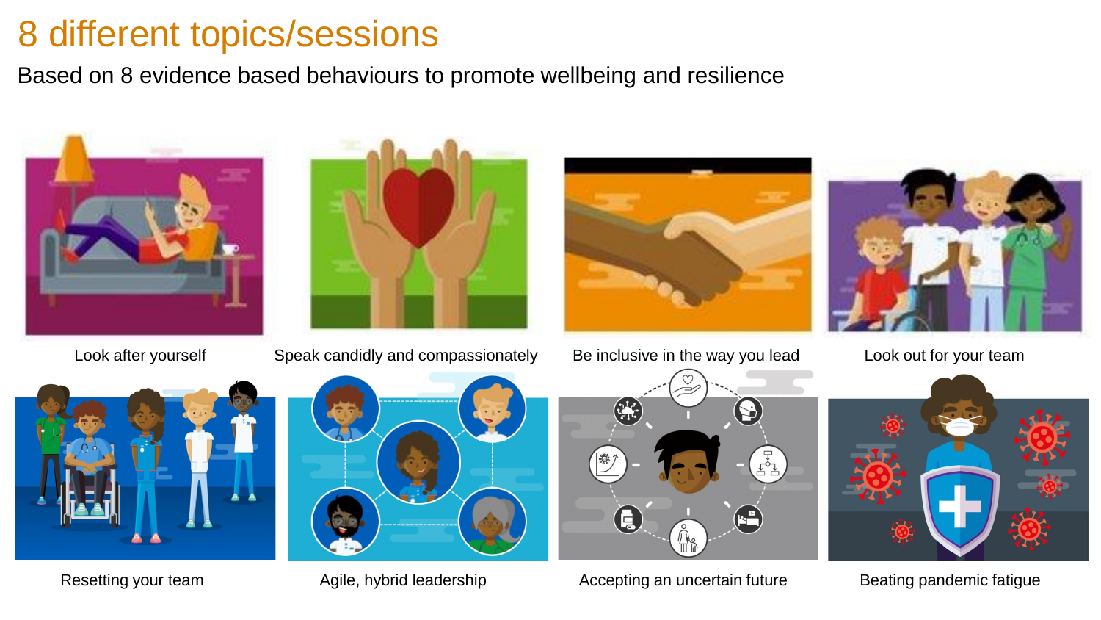# 8 different topics/sessions

Based on 8 evidence based behaviours to promote wellbeing and resilience







Look after yourself Speak candidly and compassionately Be inclusive in the way you lead Look out for your team







Resetting your team **Agile, hybrid leadership** Accepting an uncertain future Beating pandemic fatigue



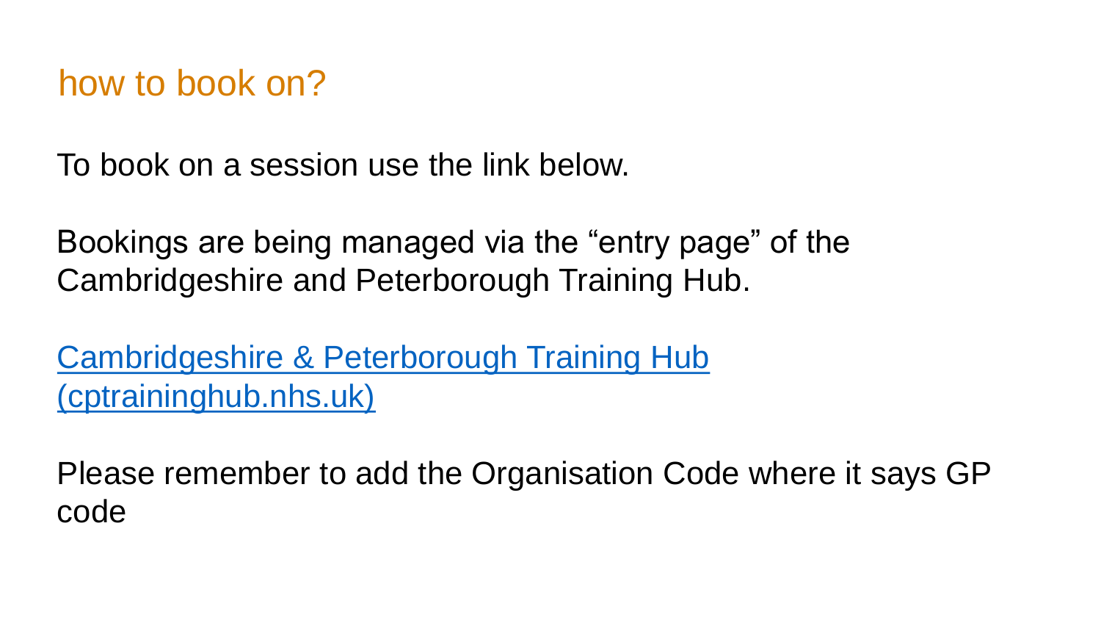### how to book on?

To book on a session use the link below.

Bookings are being managed via the "entry page" of the Cambridgeshire and Peterborough Training Hub.

[Cambridgeshire & Peterborough Training Hub](https://cptraininghub.nhs.uk/)  (cptraininghub.nhs.uk)

Please remember to add the Organisation Code where it says GP code